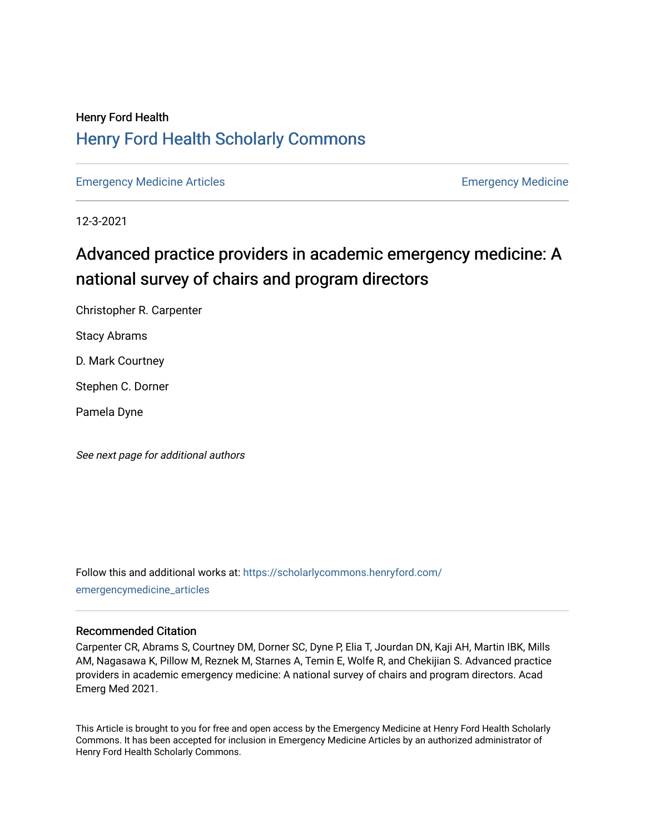## Henry Ford Health [Henry Ford Health Scholarly Commons](https://scholarlycommons.henryford.com/)

[Emergency Medicine Articles](https://scholarlycommons.henryford.com/emergencymedicine_articles) **Emergency Medicine** 

12-3-2021

## Advanced practice providers in academic emergency medicine: A national survey of chairs and program directors

Christopher R. Carpenter

Stacy Abrams

D. Mark Courtney

Stephen C. Dorner

Pamela Dyne

See next page for additional authors

Follow this and additional works at: [https://scholarlycommons.henryford.com/](https://scholarlycommons.henryford.com/emergencymedicine_articles?utm_source=scholarlycommons.henryford.com%2Femergencymedicine_articles%2F257&utm_medium=PDF&utm_campaign=PDFCoverPages) [emergencymedicine\\_articles](https://scholarlycommons.henryford.com/emergencymedicine_articles?utm_source=scholarlycommons.henryford.com%2Femergencymedicine_articles%2F257&utm_medium=PDF&utm_campaign=PDFCoverPages) 

## Recommended Citation

Carpenter CR, Abrams S, Courtney DM, Dorner SC, Dyne P, Elia T, Jourdan DN, Kaji AH, Martin IBK, Mills AM, Nagasawa K, Pillow M, Reznek M, Starnes A, Temin E, Wolfe R, and Chekijian S. Advanced practice providers in academic emergency medicine: A national survey of chairs and program directors. Acad Emerg Med 2021.

This Article is brought to you for free and open access by the Emergency Medicine at Henry Ford Health Scholarly Commons. It has been accepted for inclusion in Emergency Medicine Articles by an authorized administrator of Henry Ford Health Scholarly Commons.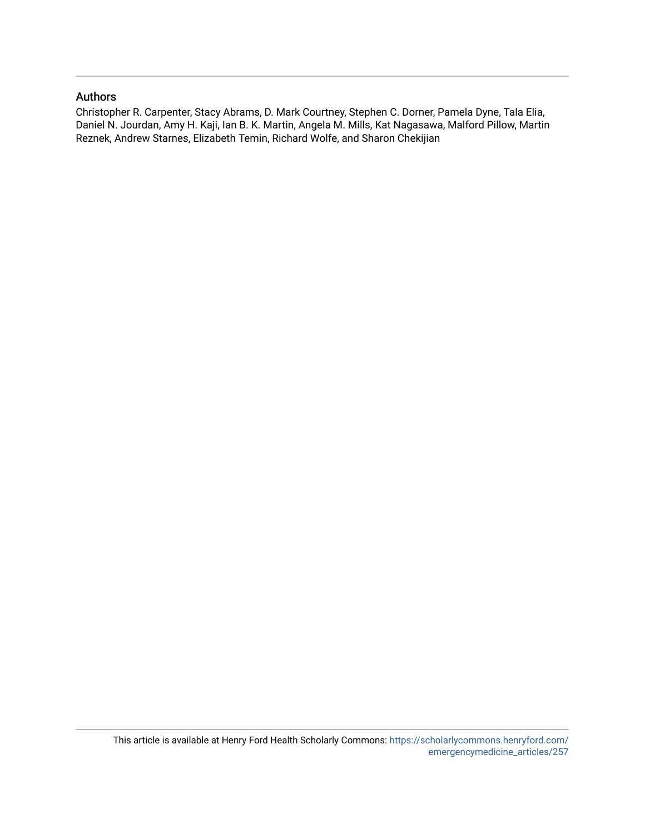## Authors

Christopher R. Carpenter, Stacy Abrams, D. Mark Courtney, Stephen C. Dorner, Pamela Dyne, Tala Elia, Daniel N. Jourdan, Amy H. Kaji, Ian B. K. Martin, Angela M. Mills, Kat Nagasawa, Malford Pillow, Martin Reznek, Andrew Starnes, Elizabeth Temin, Richard Wolfe, and Sharon Chekijian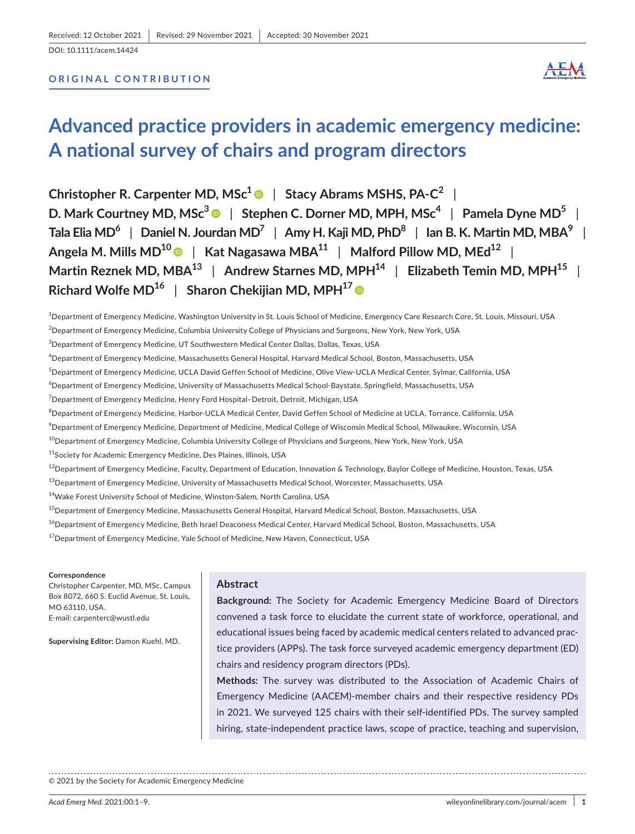DOI: 10.1111/acem.14424

## **ORIGINAL CONTRIBUTION**



# **Advanced practice providers in academic emergency medicine: A national survey of chairs and program directors**

**Christopher R. Carpenter MD, MSc[1](https://orcid.org/0000-0002-2603-7157)** | **Stacy Abrams MSHS, PA-C<sup>2</sup>** | **D. Mark Courtney MD, MSc[3](https://orcid.org/0000-0002-0905-465X)** | **Stephen C. Dorner MD, MPH, MSc4** | **Pamela Dyne MD5** | **Tala Elia MD6** | **Daniel N. Jourdan MD7** | **Amy H. Kaji MD, PhD8** | **Ian B. K. Martin MD, MBA9** | **Angela M. Mills MD10** | **Kat Nagasawa MBA11** | **Malford Pillow MD, MEd12** | **Martin** Reznek MD, MBA<sup>13</sup> | Andrew Starnes MD, MPH<sup>14</sup> | Elizabeth Temin MD, MPH<sup>15</sup> | **Richard Wolfe MD16** | **Sharon Chekijian MD, MPH17**

1 Department of Emergency Medicine, Washington University in St. Louis School of Medicine, Emergency Care Research Core, St. Louis, Missouri, USA  $^2$ Department of Emergency Medicine, Columbia University College of Physicians and Surgeons, New York, New York, USA  $^3$ Department of Emergency Medicine, UT Southwestern Medical Center Dallas, Dallas, Texas, USA

4 Department of Emergency Medicine, Massachusetts General Hospital, Harvard Medical School, Boston, Massachusetts, USA

<sup>5</sup>Department of Emergency Medicine, UCLA David Geffen School of Medicine, Olive View-UCLA Medical Center, Sylmar, California, USA

 $^6$ Department of Emergency Medicine, University of Massachusetts Medical School-Baystate, Springfield, Massachusetts, USA

 $^7$ Department of Emergency Medicine, Henry Ford Hospital–Detroit, Detroit, Michigan, USA

 $^8$ Department of Emergency Medicine, Harbor-UCLA Medical Center, David Geffen School of Medicine at UCLA, Torrance, California, USA

 $^9$ Department of Emergency Medicine, Department of Medicine, Medical College of Wisconsin Medical School, Milwaukee, Wisconsin, USA

 $10$ Department of Emergency Medicine, Columbia University College of Physicians and Surgeons, New York, New York, USA

<sup>11</sup>Society for Academic Emergency Medicine, Des Plaines, Illinois, USA

 $^{12}$ Department of Emergency Medicine, Faculty, Department of Education, Innovation & Technology, Baylor College of Medicine, Houston, Texas, USA

<sup>13</sup>Department of Emergency Medicine, University of Massachusetts Medical School, Worcester, Massachusetts, USA

<sup>14</sup>Wake Forest University School of Medicine, Winston-Salem, North Carolina, USA

 $^{15}$ Department of Emergency Medicine, Massachusetts General Hospital, Harvard Medical School, Boston, Massachusetts, USA

<sup>16</sup>Department of Emergency Medicine, Beth Israel Deaconess Medical Center, Harvard Medical School, Boston, Massachusetts, USA

<sup>17</sup> Department of Emergency Medicine, Yale School of Medicine, New Haven, Connecticut, USA

#### **Correspondence**

Christopher Carpenter, MD, MSc, Campus Box 8072, 660 S. Euclid Avenue, St. Louis, MO 63110, USA. E-mail: [carpenterc@wustl.edu](mailto:carpenterc@wustl.edu)

**Supervising Editor:** Damon Kuehl, MD.

## **Abstract**

**Background:** The Society for Academic Emergency Medicine Board of Directors convened a task force to elucidate the current state of workforce, operational, and educational issues being faced by academic medical centers related to advanced practice providers (APPs). The task force surveyed academic emergency department (ED) chairs and residency program directors (PDs).

**Methods:** The survey was distributed to the Association of Academic Chairs of Emergency Medicine (AACEM)-member chairs and their respective residency PDs in 2021. We surveyed 125 chairs with their self-identified PDs. The survey sampled hiring, state-independent practice laws, scope of practice, teaching and supervision,

© 2021 by the Society for Academic Emergency Medicine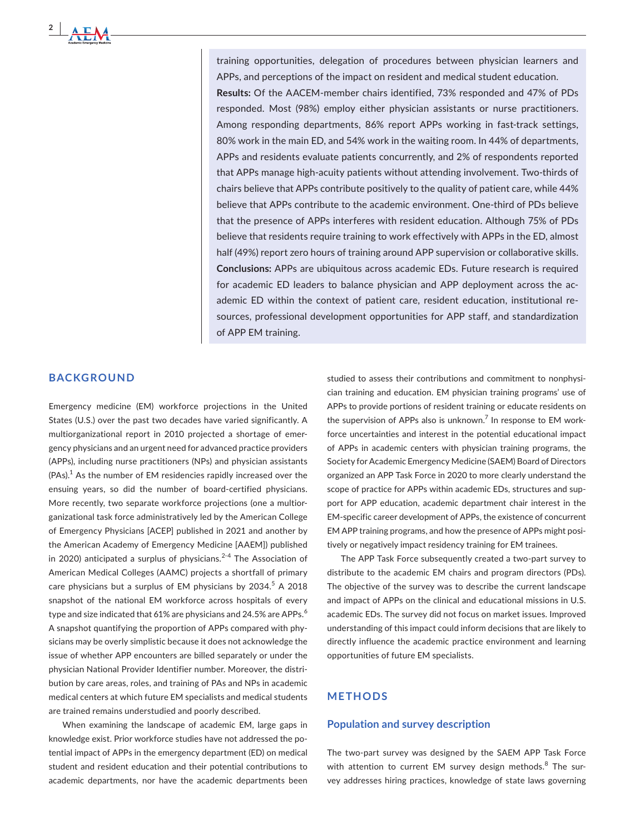training opportunities, delegation of procedures between physician learners and APPs, and perceptions of the impact on resident and medical student education. **Results:** Of the AACEM-member chairs identified, 73% responded and 47% of PDs responded. Most (98%) employ either physician assistants or nurse practitioners. Among responding departments, 86% report APPs working in fast-track settings, 80% work in the main ED, and 54% work in the waiting room. In 44% of departments, APPs and residents evaluate patients concurrently, and 2% of respondents reported that APPs manage high-acuity patients without attending involvement. Two-thirds of chairs believe that APPs contribute positively to the quality of patient care, while 44% believe that APPs contribute to the academic environment. One-third of PDs believe that the presence of APPs interferes with resident education. Although 75% of PDs believe that residents require training to work effectively with APPs in the ED, almost half (49%) report zero hours of training around APP supervision or collaborative skills. **Conclusions:** APPs are ubiquitous across academic EDs. Future research is required for academic ED leaders to balance physician and APP deployment across the academic ED within the context of patient care, resident education, institutional resources, professional development opportunities for APP staff, and standardization of APP EM training.

### **BACKGROUND**

**2 <sup>|</sup>** 

Emergency medicine (EM) workforce projections in the United States (U.S.) over the past two decades have varied significantly. A multiorganizational report in 2010 projected a shortage of emergency physicians and an urgent need for advanced practice providers (APPs), including nurse practitioners (NPs) and physician assistants  $(PAs).<sup>1</sup>$  As the number of EM residencies rapidly increased over the ensuing years, so did the number of board-certified physicians. More recently, two separate workforce projections (one a multiorganizational task force administratively led by the American College of Emergency Physicians [ACEP] published in 2021 and another by the American Academy of Emergency Medicine [AAEM]) published in 2020) anticipated a surplus of physicians.<sup>2-4</sup> The Association of American Medical Colleges (AAMC) projects a shortfall of primary care physicians but a surplus of EM physicians by 2034. $5$  A 2018 snapshot of the national EM workforce across hospitals of every type and size indicated that 61% are physicians and 24.5% are APPs.<sup>6</sup> A snapshot quantifying the proportion of APPs compared with physicians may be overly simplistic because it does not acknowledge the issue of whether APP encounters are billed separately or under the physician National Provider Identifier number. Moreover, the distribution by care areas, roles, and training of PAs and NPs in academic medical centers at which future EM specialists and medical students are trained remains understudied and poorly described.

When examining the landscape of academic EM, large gaps in knowledge exist. Prior workforce studies have not addressed the potential impact of APPs in the emergency department (ED) on medical student and resident education and their potential contributions to academic departments, nor have the academic departments been studied to assess their contributions and commitment to nonphysician training and education. EM physician training programs' use of APPs to provide portions of resident training or educate residents on the supervision of APPs also is unknown.<sup>7</sup> In response to EM workforce uncertainties and interest in the potential educational impact of APPs in academic centers with physician training programs, the Society for Academic Emergency Medicine (SAEM) Board of Directors organized an APP Task Force in 2020 to more clearly understand the scope of practice for APPs within academic EDs, structures and support for APP education, academic department chair interest in the EM-specific career development of APPs, the existence of concurrent EM APP training programs, and how the presence of APPs might positively or negatively impact residency training for EM trainees.

The APP Task Force subsequently created a two-part survey to distribute to the academic EM chairs and program directors (PDs). The objective of the survey was to describe the current landscape and impact of APPs on the clinical and educational missions in U.S. academic EDs. The survey did not focus on market issues. Improved understanding of this impact could inform decisions that are likely to directly influence the academic practice environment and learning opportunities of future EM specialists.

## **METHODS**

## **Population and survey description**

The two-part survey was designed by the SAEM APP Task Force with attention to current EM survey design methods. $8$  The survey addresses hiring practices, knowledge of state laws governing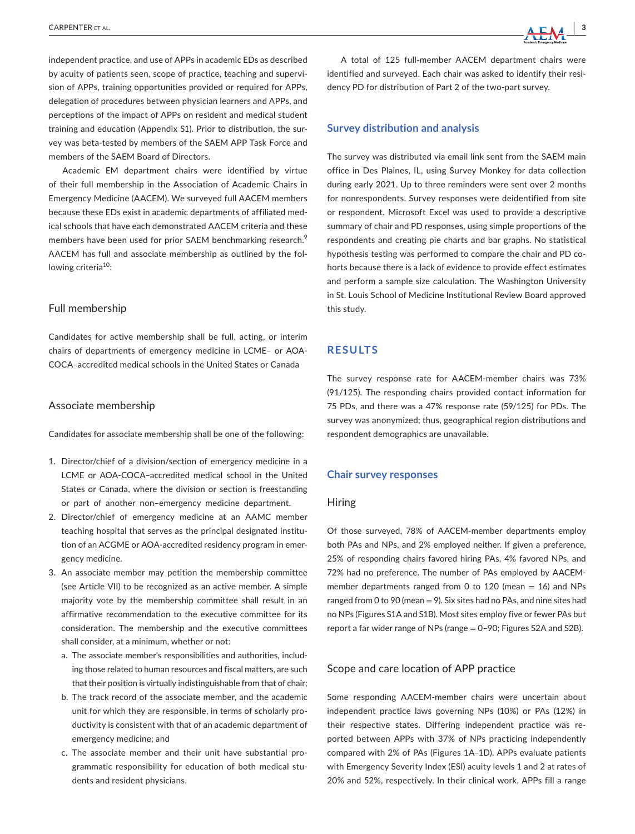independent practice, and use of APPs in academic EDs as described by acuity of patients seen, scope of practice, teaching and supervision of APPs, training opportunities provided or required for APPs. delegation of procedures between physician learners and APPs, and perceptions of the impact of APPs on resident and medical student training and education (Appendix S1). Prior to distribution, the survey was beta-tested by members of the SAEM APP Task Force and members of the SAEM Board of Directors.

Academic EM department chairs were identified by virtue of their full membership in the Association of Academic Chairs in Emergency Medicine (AACEM). We surveyed full AACEM members because these EDs exist in academic departments of affiliated medical schools that have each demonstrated AACEM criteria and these members have been used for prior SAEM benchmarking research.<sup>9</sup> AACEM has full and associate membership as outlined by the following criteria<sup>10</sup>:

#### Full membership

Candidates for active membership shall be full, acting, or interim chairs of departments of emergency medicine in LCME– or AOA-COCA–accredited medical schools in the United States or Canada

#### Associate membership

Candidates for associate membership shall be one of the following:

- 1. Director/chief of a division/section of emergency medicine in a LCME or AOA-COCA–accredited medical school in the United States or Canada, where the division or section is freestanding or part of another non–emergency medicine department.
- 2. Director/chief of emergency medicine at an AAMC member teaching hospital that serves as the principal designated institution of an ACGME or AOA-accredited residency program in emergency medicine.
- 3. An associate member may petition the membership committee (see Article VII) to be recognized as an active member. A simple majority vote by the membership committee shall result in an affirmative recommendation to the executive committee for its consideration. The membership and the executive committees shall consider, at a minimum, whether or not:
	- a. The associate member's responsibilities and authorities, including those related to human resources and fiscal matters, are such that their position is virtually indistinguishable from that of chair;
	- b. The track record of the associate member, and the academic unit for which they are responsible, in terms of scholarly productivity is consistent with that of an academic department of emergency medicine; and
	- c. The associate member and their unit have substantial programmatic responsibility for education of both medical students and resident physicians.

A total of 125 full-member AACEM department chairs were identified and surveyed. Each chair was asked to identify their residency PD for distribution of Part 2 of the two-part survey.

#### **Survey distribution and analysis**

The survey was distributed via email link sent from the SAEM main office in Des Plaines, IL, using Survey Monkey for data collection during early 2021. Up to three reminders were sent over 2 months for nonrespondents. Survey responses were deidentified from site or respondent. Microsoft Excel was used to provide a descriptive summary of chair and PD responses, using simple proportions of the respondents and creating pie charts and bar graphs. No statistical hypothesis testing was performed to compare the chair and PD cohorts because there is a lack of evidence to provide effect estimates and perform a sample size calculation. The Washington University in St. Louis School of Medicine Institutional Review Board approved this study.

## **RESULTS**

The survey response rate for AACEM-member chairs was 73% (91/125). The responding chairs provided contact information for 75 PDs, and there was a 47% response rate (59/125) for PDs. The survey was anonymized; thus, geographical region distributions and respondent demographics are unavailable.

#### **Chair survey responses**

#### Hiring

Of those surveyed, 78% of AACEM-member departments employ both PAs and NPs, and 2% employed neither. If given a preference, 25% of responding chairs favored hiring PAs, 4% favored NPs, and 72% had no preference. The number of PAs employed by AACEMmember departments ranged from 0 to 120 (mean  $= 16$ ) and NPs ranged from 0 to 90 (mean = 9). Six sites had no PAs, and nine sites had no NPs (Figures S1A and S1B). Most sites employ five or fewer PAs but report a far wider range of NPs (range = 0–90; Figures S2A and S2B).

## Scope and care location of APP practice

Some responding AACEM-member chairs were uncertain about independent practice laws governing NPs (10%) or PAs (12%) in their respective states. Differing independent practice was reported between APPs with 37% of NPs practicing independently compared with 2% of PAs (Figures 1A–1D). APPs evaluate patients with Emergency Severity Index (ESI) acuity levels 1 and 2 at rates of 20% and 52%, respectively. In their clinical work, APPs fill a range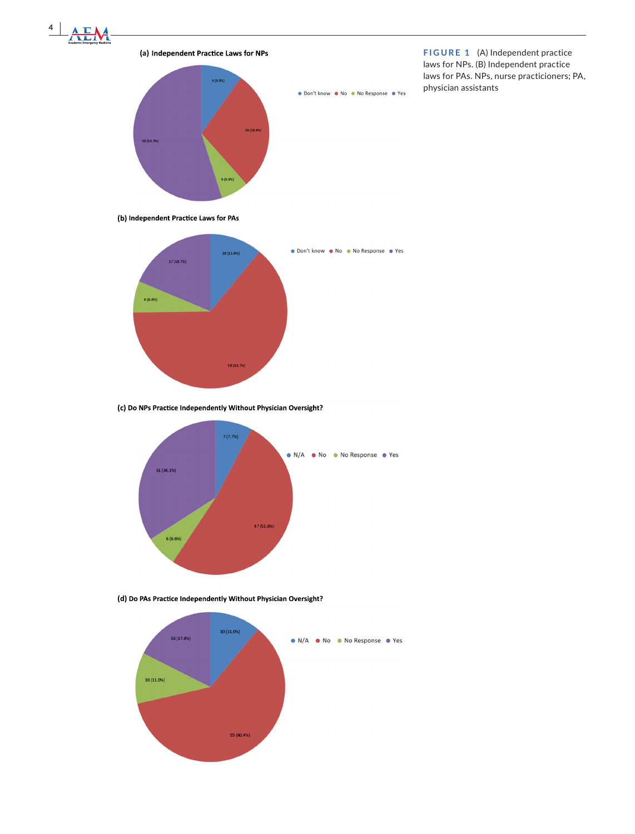

**(a)**



**FIGURE 1** (A) Independent practice laws for NPs. (B) Independent practice laws for PAs. NPs, nurse practicioners; PA, physician assistants

(b) Independent Practice Laws for PAs



(c) Do NPs Practice Independently Without Physician Oversight?



(d) Do PAs Practice Independently Without Physician Oversight?

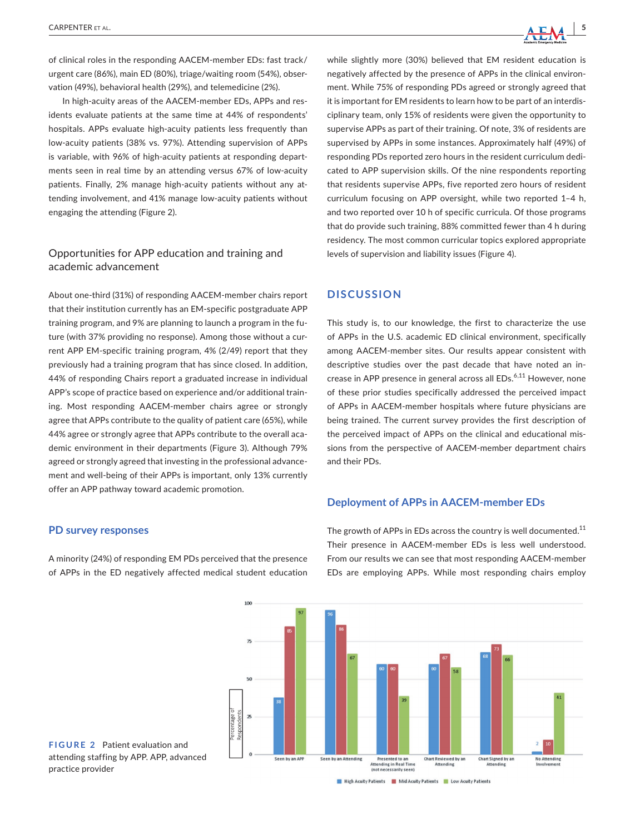

of clinical roles in the responding AACEM-member EDs: fast track/ urgent care (86%), main ED (80%), triage/waiting room (54%), observation (49%), behavioral health (29%), and telemedicine (2%).

In high-acuity areas of the AACEM-member EDs, APPs and residents evaluate patients at the same time at 44% of respondents' hospitals. APPs evaluate high-acuity patients less frequently than low-acuity patients (38% vs. 97%). Attending supervision of APPs is variable, with 96% of high-acuity patients at responding departments seen in real time by an attending versus 67% of low-acuity patients. Finally, 2% manage high-acuity patients without any attending involvement, and 41% manage low-acuity patients without engaging the attending (Figure 2).

## Opportunities for APP education and training and academic advancement

About one-third (31%) of responding AACEM-member chairs report that their institution currently has an EM-specific postgraduate APP training program, and 9% are planning to launch a program in the future (with 37% providing no response). Among those without a current APP EM-specific training program, 4% (2/49) report that they previously had a training program that has since closed. In addition, 44% of responding Chairs report a graduated increase in individual APP's scope of practice based on experience and/or additional training. Most responding AACEM-member chairs agree or strongly agree that APPs contribute to the quality of patient care (65%), while 44% agree or strongly agree that APPs contribute to the overall academic environment in their departments (Figure 3). Although 79% agreed or strongly agreed that investing in the professional advancement and well-being of their APPs is important, only 13% currently offer an APP pathway toward academic promotion.

#### **PD survey responses**

A minority (24%) of responding EM PDs perceived that the presence of APPs in the ED negatively affected medical student education

while slightly more (30%) believed that EM resident education is negatively affected by the presence of APPs in the clinical environment. While 75% of responding PDs agreed or strongly agreed that it is important for EM residents to learn how to be part of an interdisciplinary team, only 15% of residents were given the opportunity to supervise APPs as part of their training. Of note, 3% of residents are supervised by APPs in some instances. Approximately half (49%) of responding PDs reported zero hours in the resident curriculum dedicated to APP supervision skills. Of the nine respondents reporting that residents supervise APPs, five reported zero hours of resident curriculum focusing on APP oversight, while two reported 1–4 h, and two reported over 10 h of specific curricula. Of those programs that do provide such training, 88% committed fewer than 4 h during residency. The most common curricular topics explored appropriate levels of supervision and liability issues (Figure 4).

## **DISCUSSION**

This study is, to our knowledge, the first to characterize the use of APPs in the U.S. academic ED clinical environment, specifically among AACEM-member sites. Our results appear consistent with descriptive studies over the past decade that have noted an increase in APP presence in general across all EDs.<sup>6,11</sup> However, none of these prior studies specifically addressed the perceived impact of APPs in AACEM-member hospitals where future physicians are being trained. The current survey provides the first description of the perceived impact of APPs on the clinical and educational missions from the perspective of AACEM-member department chairs and their PDs.

### **Deployment of APPs in AACEM-member EDs**



The growth of APPs in EDs across the country is well documented.<sup>11</sup> Their presence in AACEM-member EDs is less well understood. From our results we can see that most responding AACEM-member EDs are employing APPs. While most responding chairs employ



High Acuity Patients Mid Acuity Patients Low Acuity Patients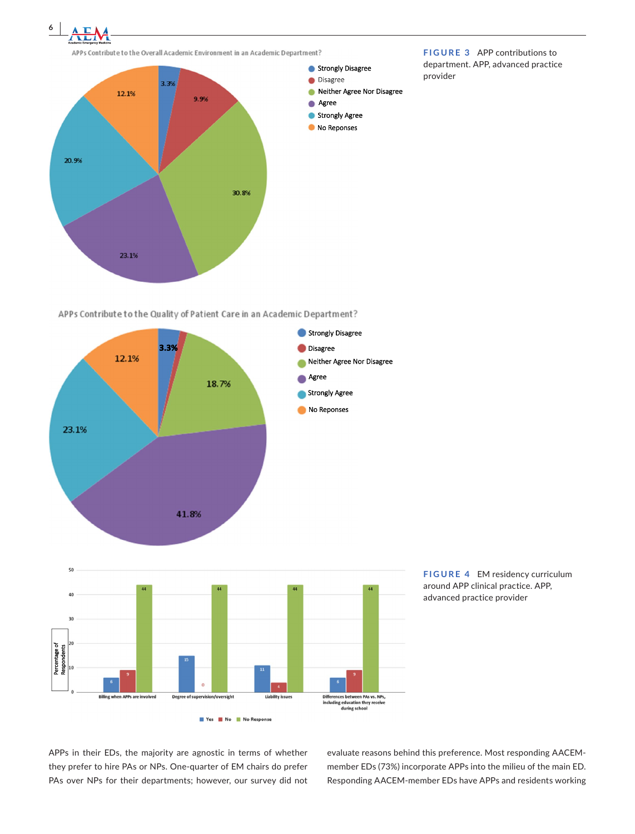APPs Contribute to the Overall Academic Environment in an Academic Department? Strongly Disagree · Disagree 3.3% Reither Agree Nor Disagree 12.1% 9.9% Agree Strongly Agree No Reponses 20.9% 30.8% 23.1%

**FIGURE 3** APP contributions to department. APP, advanced practice provider

APPs Contribute to the Quality of Patient Care in an Academic Department?



**FIGURE 4** EM residency curriculum around APP clinical practice. APP, advanced practice provider

APPs in their EDs, the majority are agnostic in terms of whether they prefer to hire PAs or NPs. One-quarter of EM chairs do prefer PAs over NPs for their departments; however, our survey did not evaluate reasons behind this preference. Most responding AACEMmember EDs (73%) incorporate APPs into the milieu of the main ED. Responding AACEM-member EDs have APPs and residents working

**6 <sup>|</sup>**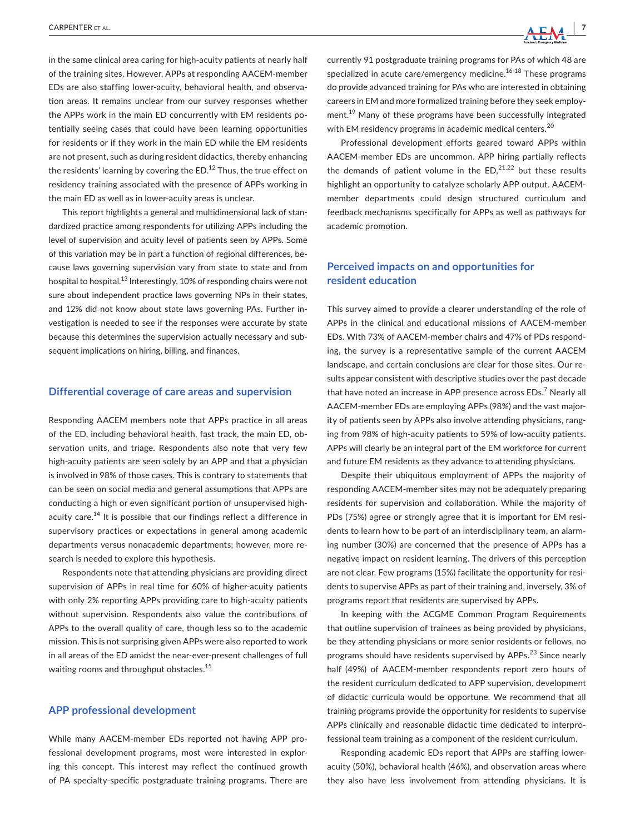in the same clinical area caring for high-acuity patients at nearly half of the training sites. However, APPs at responding AACEM-member EDs are also staffing lower-acuity, behavioral health, and observation areas. It remains unclear from our survey responses whether the APPs work in the main ED concurrently with EM residents potentially seeing cases that could have been learning opportunities for residents or if they work in the main ED while the EM residents are not present, such as during resident didactics, thereby enhancing the residents' learning by covering the ED. $^{12}$  Thus, the true effect on residency training associated with the presence of APPs working in the main ED as well as in lower-acuity areas is unclear.

This report highlights a general and multidimensional lack of standardized practice among respondents for utilizing APPs including the level of supervision and acuity level of patients seen by APPs. Some of this variation may be in part a function of regional differences, because laws governing supervision vary from state to state and from hospital to hospital.<sup>13</sup> Interestingly, 10% of responding chairs were not sure about independent practice laws governing NPs in their states, and 12% did not know about state laws governing PAs. Further investigation is needed to see if the responses were accurate by state because this determines the supervision actually necessary and subsequent implications on hiring, billing, and finances.

#### **Differential coverage of care areas and supervision**

Responding AACEM members note that APPs practice in all areas of the ED, including behavioral health, fast track, the main ED, observation units, and triage. Respondents also note that very few high-acuity patients are seen solely by an APP and that a physician is involved in 98% of those cases. This is contrary to statements that can be seen on social media and general assumptions that APPs are conducting a high or even significant portion of unsupervised highacuity care.<sup>14</sup> It is possible that our findings reflect a difference in supervisory practices or expectations in general among academic departments versus nonacademic departments; however, more research is needed to explore this hypothesis.

Respondents note that attending physicians are providing direct supervision of APPs in real time for 60% of higher-acuity patients with only 2% reporting APPs providing care to high-acuity patients without supervision. Respondents also value the contributions of APPs to the overall quality of care, though less so to the academic mission. This is not surprising given APPs were also reported to work in all areas of the ED amidst the near-ever-present challenges of full waiting rooms and throughput obstacles.<sup>15</sup>

### **APP professional development**

While many AACEM-member EDs reported not having APP professional development programs, most were interested in exploring this concept. This interest may reflect the continued growth of PA specialty-specific postgraduate training programs. There are



currently 91 postgraduate training programs for PAs of which 48 are specialized in acute care/emergency medicine.<sup>16-18</sup> These programs do provide advanced training for PAs who are interested in obtaining careers in EM and more formalized training before they seek employment.<sup>19</sup> Many of these programs have been successfully integrated with EM residency programs in academic medical centers.<sup>20</sup>

Professional development efforts geared toward APPs within AACEM-member EDs are uncommon. APP hiring partially reflects the demands of patient volume in the  $ED<sub>1</sub><sup>21,22</sup>$  but these results highlight an opportunity to catalyze scholarly APP output. AACEMmember departments could design structured curriculum and feedback mechanisms specifically for APPs as well as pathways for academic promotion.

## **Perceived impacts on and opportunities for resident education**

This survey aimed to provide a clearer understanding of the role of APPs in the clinical and educational missions of AACEM-member EDs. With 73% of AACEM-member chairs and 47% of PDs responding, the survey is a representative sample of the current AACEM landscape, and certain conclusions are clear for those sites. Our results appear consistent with descriptive studies over the past decade that have noted an increase in APP presence across EDs.<sup>7</sup> Nearly all AACEM-member EDs are employing APPs (98%) and the vast majority of patients seen by APPs also involve attending physicians, ranging from 98% of high-acuity patients to 59% of low-acuity patients. APPs will clearly be an integral part of the EM workforce for current and future EM residents as they advance to attending physicians.

Despite their ubiquitous employment of APPs the majority of responding AACEM-member sites may not be adequately preparing residents for supervision and collaboration. While the majority of PDs (75%) agree or strongly agree that it is important for EM residents to learn how to be part of an interdisciplinary team, an alarming number (30%) are concerned that the presence of APPs has a negative impact on resident learning. The drivers of this perception are not clear. Few programs (15%) facilitate the opportunity for residents to supervise APPs as part of their training and, inversely, 3% of programs report that residents are supervised by APPs.

In keeping with the ACGME Common Program Requirements that outline supervision of trainees as being provided by physicians, be they attending physicians or more senior residents or fellows, no programs should have residents supervised by APPs.<sup>23</sup> Since nearly half (49%) of AACEM-member respondents report zero hours of the resident curriculum dedicated to APP supervision, development of didactic curricula would be opportune. We recommend that all training programs provide the opportunity for residents to supervise APPs clinically and reasonable didactic time dedicated to interprofessional team training as a component of the resident curriculum.

Responding academic EDs report that APPs are staffing loweracuity (50%), behavioral health (46%), and observation areas where they also have less involvement from attending physicians. It is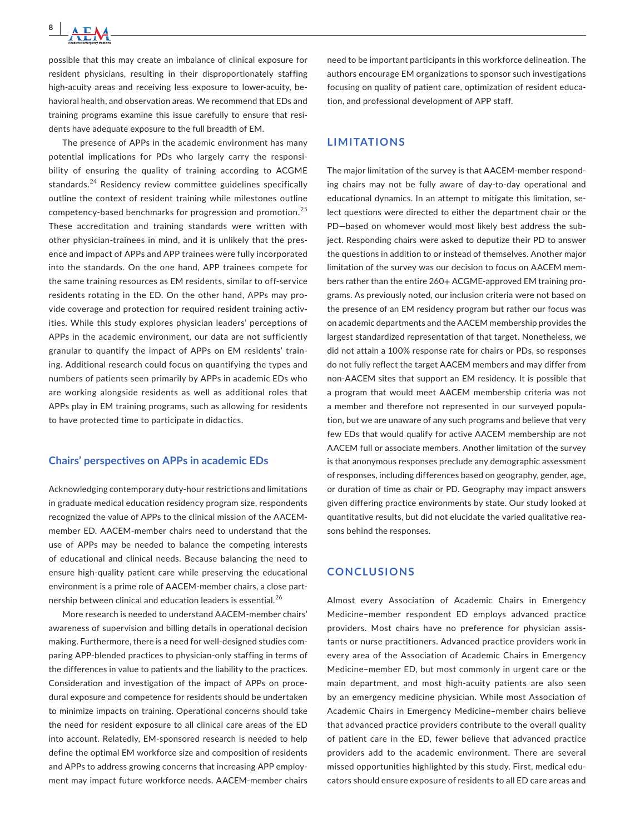possible that this may create an imbalance of clinical exposure for resident physicians, resulting in their disproportionately staffing high-acuity areas and receiving less exposure to lower-acuity, behavioral health, and observation areas. We recommend that EDs and training programs examine this issue carefully to ensure that residents have adequate exposure to the full breadth of EM.

The presence of APPs in the academic environment has many potential implications for PDs who largely carry the responsibility of ensuring the quality of training according to ACGME standards.<sup>24</sup> Residency review committee guidelines specifically outline the context of resident training while milestones outline competency-based benchmarks for progression and promotion.<sup>25</sup> These accreditation and training standards were written with other physician-trainees in mind, and it is unlikely that the presence and impact of APPs and APP trainees were fully incorporated into the standards. On the one hand, APP trainees compete for the same training resources as EM residents, similar to off-service residents rotating in the ED. On the other hand, APPs may provide coverage and protection for required resident training activities. While this study explores physician leaders' perceptions of APPs in the academic environment, our data are not sufficiently granular to quantify the impact of APPs on EM residents' training. Additional research could focus on quantifying the types and numbers of patients seen primarily by APPs in academic EDs who are working alongside residents as well as additional roles that APPs play in EM training programs, such as allowing for residents to have protected time to participate in didactics.

#### **Chairs' perspectives on APPs in academic EDs**

Acknowledging contemporary duty-hour restrictions and limitations in graduate medical education residency program size, respondents recognized the value of APPs to the clinical mission of the AACEMmember ED. AACEM-member chairs need to understand that the use of APPs may be needed to balance the competing interests of educational and clinical needs. Because balancing the need to ensure high-quality patient care while preserving the educational environment is a prime role of AACEM-member chairs, a close partnership between clinical and education leaders is essential.<sup>26</sup>

More research is needed to understand AACEM-member chairs' awareness of supervision and billing details in operational decision making. Furthermore, there is a need for well-designed studies comparing APP-blended practices to physician-only staffing in terms of the differences in value to patients and the liability to the practices. Consideration and investigation of the impact of APPs on procedural exposure and competence for residents should be undertaken to minimize impacts on training. Operational concerns should take the need for resident exposure to all clinical care areas of the ED into account. Relatedly, EM-sponsored research is needed to help define the optimal EM workforce size and composition of residents and APPs to address growing concerns that increasing APP employment may impact future workforce needs. AACEM-member chairs need to be important participants in this workforce delineation. The authors encourage EM organizations to sponsor such investigations focusing on quality of patient care, optimization of resident education, and professional development of APP staff.

## **LIMITATIONS**

The major limitation of the survey is that AACEM-member responding chairs may not be fully aware of day-to-day operational and educational dynamics. In an attempt to mitigate this limitation, select questions were directed to either the department chair or the PD—based on whomever would most likely best address the subject. Responding chairs were asked to deputize their PD to answer the questions in addition to or instead of themselves. Another major limitation of the survey was our decision to focus on AACEM members rather than the entire 260+ ACGME-approved EM training programs. As previously noted, our inclusion criteria were not based on the presence of an EM residency program but rather our focus was on academic departments and the AACEM membership provides the largest standardized representation of that target. Nonetheless, we did not attain a 100% response rate for chairs or PDs, so responses do not fully reflect the target AACEM members and may differ from non-AACEM sites that support an EM residency. It is possible that a program that would meet AACEM membership criteria was not a member and therefore not represented in our surveyed population, but we are unaware of any such programs and believe that very few EDs that would qualify for active AACEM membership are not AACEM full or associate members. Another limitation of the survey is that anonymous responses preclude any demographic assessment of responses, including differences based on geography, gender, age, or duration of time as chair or PD. Geography may impact answers given differing practice environments by state. Our study looked at quantitative results, but did not elucidate the varied qualitative reasons behind the responses.

#### **CONCLUSIONS**

Almost every Association of Academic Chairs in Emergency Medicine–member respondent ED employs advanced practice providers. Most chairs have no preference for physician assistants or nurse practitioners. Advanced practice providers work in every area of the Association of Academic Chairs in Emergency Medicine–member ED, but most commonly in urgent care or the main department, and most high-acuity patients are also seen by an emergency medicine physician. While most Association of Academic Chairs in Emergency Medicine–member chairs believe that advanced practice providers contribute to the overall quality of patient care in the ED, fewer believe that advanced practice providers add to the academic environment. There are several missed opportunities highlighted by this study. First, medical educators should ensure exposure of residents to all ED care areas and